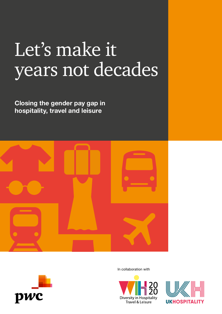# Let's make it years not decades

**Closing the gender pay gap in hospitality, travel and leisure** 





In collaboration with



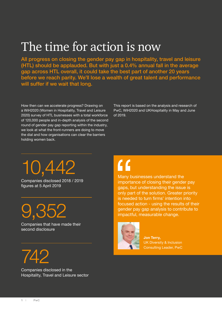## The time for action is now

All progress on closing the gender pay gap in hospitality, travel and leisure (HTL) should be applauded. But with just a 0.4% annual fall in the average gap across HTL overall, it could take the best part of another 20 years before we reach parity. We'll lose a wealth of great talent and performance will suffer if we wait that long.

How then can we accelerate progress? Drawing on a WiH2020 (Women in Hospitality, Travel and Leisure 2020) survey of HTL businesses with a total workforce of 120,000 people and in-depth analysis of the second round of gender pay gap reporting within the industry, we look at what the front-runners are doing to move the dial and how organisations can clear the barriers holding women back.

This report is based on the analysis and research of PwC, WiH2020 and UKHospitality in May and June of 2019.

10,442

Companies disclosed 2018 / 2019 figures at 5 April 2019

9,352

Companies that have made their second disclosure

742

Companies disclosed in the Hospitality, Travel and Leisure sector

## $\mathcal{L}$

Many businesses understand the importance of closing their gender pay gaps, but understanding the issue is only part of the solution. Greater priority is needed to turn firms' intention into focused action - using the results of their gender pay gap analysis to contribute to impactful, measurable change.



**Jon Terry,** UK Diversity & Inclusion Consulting Leader, PwC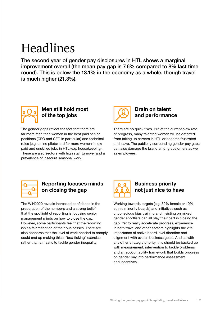## Headlines

The second year of gender pay disclosures in HTL shows a marginal improvement overall (the mean pay gap is 7.6% compared to 8% last time round). This is below the 13.1% in the economy as a whole, though travel is much higher (21.3%).



## **Men still hold most of the top jobs**

The gender gaps reflect the fact that there are far more men than women in the best paid senior positions (CEO and CFO in particular) and technical roles (e.g. airline pilots) and far more women in low paid and unskilled jobs in HTL (e.g. housekeeping). These are also sectors with high staff turnover and a prevalence of insecure seasonal work.



### **Drain on talent and performance**

There are no quick fixes. But at the current slow rate of progress, many talented women will be deterred from taking up careers in HTL or become frustrated and leave. The publicity surrounding gender pay gaps can also damage the brand among customers as well as employees.



## **Reporting focuses minds on closing the gap**

The WiH2020 reveals increased confidence in the preparation of the numbers and a strong belief that the spotlight of reporting is focusing senior management minds on how to close the gap. However, some participants feel that the reporting isn't a fair reflection of their businesses. There are also concerns that the level of work needed to comply could end up making this a "box-ticking" exercise, rather than a means to tackle gender inequality.



## **Business priority not just nice to have**

Working towards targets (e.g. 30% female or 10% ethnic minority boards) and initiatives such as unconscious bias training and insisting on mixed gender shortlists can all play their part in closing the gap. Yet to really accelerate progress, experience in both travel and other sectors highlights the vital importance of active board level direction and alignment with overall business goals. And as with any other strategic priority, this should be backed up with measurement, intervention to tackle problems and an accountability framework that builds progress on gender pay into performance assessment and incentives.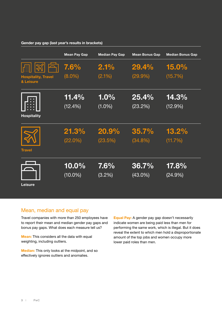#### **Gender pay gap (last year's results in brackets)**

|                                               | <b>Mean Pay Gap</b> | <b>Median Pay Gap</b> | <b>Mean Bonus Gap</b> | <b>Median Bonus Gap</b> |
|-----------------------------------------------|---------------------|-----------------------|-----------------------|-------------------------|
| IA<br><b>Hospitality, Travel</b><br>& Leisure | 7.6%<br>$(8.0\%)$   | 2.1%<br>(2.1%)        | 29.4%<br>(29.9%       | 15.0%<br>(15.7%)        |
| ∷                                             | 11.4%               | 1.0%                  | 25.4%                 | 14.3%                   |
| <b>Hospitality</b>                            | (12.4%)             | $(1.0\%)$             | (23.2%)               | $(12.9\%)$              |
| <b>Travel</b>                                 | 21.3%               | 20.9%                 | 35.7%                 | 13.2%                   |
|                                               | $(22.0\%)$          | (23.5%)               | $(34.8\%)$            | (11.7%)                 |
| <b>Leisure</b>                                | 10.0%               | $7.6\%$               | 36.7%                 | 17.8%                   |
|                                               | $(10.0\%)$          | (3.2%)                | $(43.0\%)$            | (24.9%)                 |

## Mean, median and equal pay

Travel companies with more than 250 employees have to report their mean and median gender pay gaps and bonus pay gaps. What does each measure tell us?

**Mean:** This considers all the data with equal weighting, including outliers.

**Median:** This only looks at the midpoint, and so effectively ignores outliers and anomalies.

**Equal Pay:** A gender pay gap doesn't necessarily indicate women are being paid less than men for performing the same work, which is illegal. But it does reveal the extent to which men hold a disproportionate amount of the top jobs and women occupy more lower paid roles than men.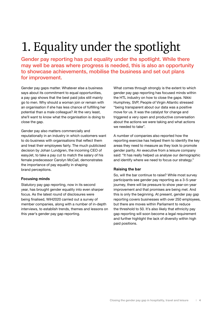## 1. Equality under the spotlight

Gender pay reporting has put equality under the spotlight. While there may well be areas where progress is needed, this is also an opportunity to showcase achievements, mobilise the business and set out plans for improvement.

Gender pay gaps matter. Whatever else a business says about its commitment to equal opportunities, a pay gap shows that the best paid jobs still mainly go to men. Why should a woman join or remain with an organisation if she has less chance of fulfilling her potential than a male colleague? At the very least, she'll want to know what the organisation is doing to close the gap.

Gender pay also matters commercially and reputationally in an industry in which customers want to do business with organisations that reflect them and treat their employees fairly. The much publicised decision by Johan Lundgren, the incoming CEO of easyJet, to take a pay cut to match the salary of his female predecessor Carolyn McCall, demonstrates the importance of pay equality in shaping brand perceptions.

### **Focusing minds**

Statutory pay gap reporting, now in its second year, has brought gender equality into even sharper focus. As the latest round of disclosures were being finalised, WiH2020 carried out a survey of member companies, along with a number of in-depth interviews, to establish trends, themes and lessons on this year's gender pay gap reporting.

What comes through strongly is the extent to which gender pay gap reporting has focused minds within the HTL industry on how to close the gaps. Nikki Humphrey, SVP, People of Virgin Atlantic stressed "being transparent about our data was a positive move for us. It was the catalyst for change and triggered a very open and productive conversation about the actions we were taking and what actions we needed to take".

A number of companies also reported how the reporting exercise has helped them to identify the key areas they need to measure as they look to promote gender parity. An executive from a leisure company said: "It has really helped us analyse our demographic and identify where we need to focus our strategy."

### **Raising the bar**

So, will the bar continue to raise? While most survey participants see gender pay reporting as a 3-5-year journey, there will be pressure to show year-on-year improvement and that promises are being met. And this is only the beginning. At present, gender pay gap reporting covers businesses with over 250 employees, but there are moves within Parliament to reduce the threshold to 50. It's also likely that ethnicity pay gap reporting will soon become a legal requirement and further highlight the lack of diversity within high paid positions.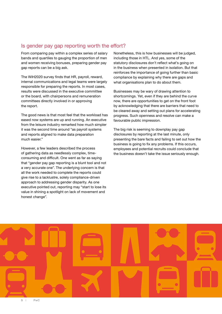### Is gender pay gap reporting worth the effort?

From comparing pay within a complex series of salary bands and quartiles to gauging the proportion of men and women receiving bonuses, preparing gender pay gap reports can be a big ask.

The WiH2020 survey finds that HR, payroll, reward, internal communications and legal teams were largely responsible for preparing the reports. In most cases, results were discussed in the executive committee or the board, with chairpersons and remuneration committees directly involved in or approving the report.

The good news is that most feel that the workload has eased now systems are up and running. An executive from the leisure industry remarked how much simpler it was the second time around "as payroll systems and reports aligned to make data preparation much easier."

However, a few leaders described the process of gathering data as needlessly complex, timeconsuming and difficult. One went as far as saying that "gender pay gap reporting is a blunt tool and not a very accurate one". The underlying concern is that all the work needed to complete the reports could give rise to a lacklustre, solely compliance-driven approach to addressing gender disparity. As one executive pointed out, reporting may "start to lose its value in shining a spotlight on lack of movement and honest change".

Nonetheless, this is how businesses will be judged, including those in HTL. And yes, some of the statutory disclosures don't reflect what's going on in the business when presented in isolation. But that reinforces the importance of going further than basic compliance by explaining why there are gaps and what organisations plan to do about them.

Businesses may be wary of drawing attention to shortcomings. Yet, even if they are behind the curve now, there are opportunities to get on the front foot by acknowledging that there are barriers that need to be cleared away and setting out plans for accelerating progress. Such openness and resolve can make a favourable public impression.

The big risk is seeming to downplay pay gap disclosures by reporting at the last minute, only presenting the bare facts and failing to set out how the business is going to fix any problems. If this occurs, employees and potential recruits could conclude that the business doesn't take the issue seriously enough.

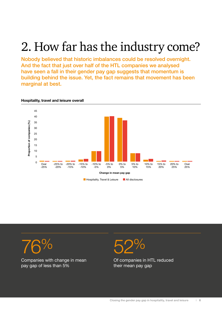## 2. How far has the industry come?

Nobody believed that historic imbalances could be resolved overnight. And the fact that just over half of the HTL companies we analysed have seen a fall in their gender pay gap suggests that momentum is building behind the issue. Yet, the fact remains that movement has been marginal at best.



### **Hospitality, travel and leisure overall**



Companies with change in mean pay gap of less than 5%



Of companies in HTL reduced their mean pay gap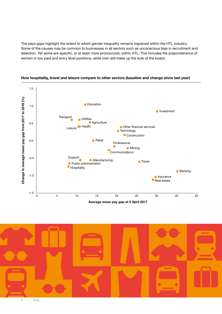The pays gaps highlight the extent to which gender inequality remains ingrained within the HTL industry. Some of the causes may be common to businesses in all sectors such as unconscious bias in recruitment and selection. Yet some are specific, or at least more pronounced, within HTL. This includes the preponderance of women in low paid and entry level positions, while men still make up the bulk of the board.



### **How hospitality, travel and leisure compare to other sectors (baseline and change since last year)**

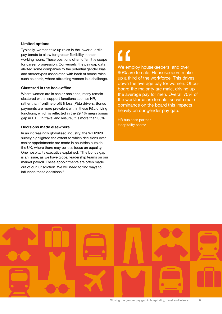#### **Limited options**

Typically, women take up roles in the lower quartile pay bands to allow for greater flexibility in their working hours. These positions often offer little scope for career progression. Conversely, the pay gap data alerted some companies to the potential gender bias and stereotypes associated with back of house roles such as chefs, where attracting women is a challenge.

### **Clustered in the back-office**

Where women are in senior positions, many remain clustered within support functions such as HR, rather than frontline profit & loss (P&L) drivers. Bonus payments are more prevalent within these P&L driving functions, which is reflected in the 29.4% mean bonus gap in HTL. In travel and leisure, it is more than 35%.

#### **Decisions made elsewhere**

In an increasingly globalised industry, the WiH2020 survey highlighted the extent to which decisions over senior appointments are made in countries outside the UK, where there may be less focus on equality. One hospitality executive explained: "The bonus gap is an issue, as we have global leadership teams on our market payroll. These appointments are often made out of our jurisdiction. We will need to find ways to influence these decisions."

## $\overline{1}$

We employ housekeepers, and over 90% are female. Housekeepers make up a third of the workforce. This drives down the average pay for women. Of our board the majority are male, driving up the average pay for men. Overall 70% of the workforce are female, so with male dominance on the board this impacts heavily on our gender pay gap.

HR business partner Hospitality sector

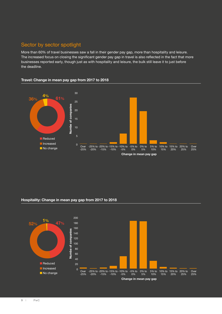## Sector by sector spotlight

More than 60% of travel businesses saw a fall in their gender pay gap, more than hospitality and leisure. The increased focus on closing the significant gender pay gap in travel is also reflected in the fact that more businesses reported early, though just as with hospitality and leisure, the bulk still leave it to just before the deadline.

### **Travel: Change in mean pay gap from 2017 to 2018**



### **Hospitality: Change in mean pay gap from 2017 to 2018**

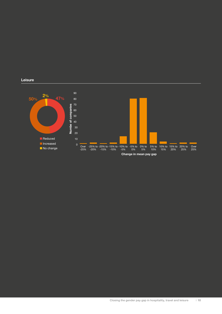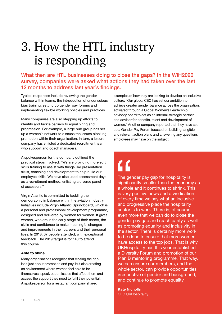## 3. How the HTL industry is responding

## What then are HTL businesses doing to close the gaps? In the WiH2020 survey, companies were asked what actions they had taken over the last 12 months to address last year's findings.

Typical responses include reviewing the gender balance within teams, the introduction of unconscious bias training, setting up gender pay forums and implementing flexible working policies and practices.

Many companies are also stepping up efforts to identity and tackle barriers to equal hiring and progression. For example, a large pub group has set up a women's network to discuss the issues blocking promotion within their organisation. In turn, a leisure company has enlisted a dedicated recruitment team, who support and coach managers.

A spokesperson for the company outlined the practical steps involved: "We are providing more soft skills training to assist with things like presentation skills, coaching and development to help build our employee skills. We have also used assessment days as a recruitment method, enlisting a diverse panel of assessors."

Virgin Atlantic is committed to tackling the demographic imbalance within the aviation industry. Initiatives include Virgin Atlantic Springboard, which is a personal and professional development programme, designed and delivered by women for women. It gives women, who are in the early stage of their career, the skills and confidence to make meaningful changes and improvements in their careers and their personal lives. In 2018, 67 people attended, with exceptional feedback. The 2019 target is for 140 to attend this course.

### **Able to shine**

Many organisations recognise that closing the gap isn't just about promotion and pay, but also creating an environment where women feel able to be themselves, speak out on issues that affect them and access the support they need to fulfil their potential. A spokesperson for a restaurant company shared

examples of how they are looking to develop an inclusive culture: "Our global CEO has set our ambition to achieve greater gender balance across the organisation, activated through a Global Women's Leadership advisory board to act as an internal strategic partner and advisor for benefits, talent and development of women." Another company reported that they have set up a Gender Pay Forum focused on building tangible and relevant action plans and answering any questions employees may have on the subject.

## $\mathbf{C}$

The gender pay gap for hospitality is significantly smaller than the economy as a whole and it continues to shrink. This is very positive news and a vindication of every time we say what an inclusive and progressive place the hospitality sector is to work. There is, of course, even more that we can do to close the gender pay gap and reach parity as well as promoting equality and inclusivity in the sector. There is certainly more work to be done to ensure that more women have access to the top jobs. That is why UKHospitality has this year established a Diversity Forum and promotion of our Plan B mentoring programme. That way, we can ensure our members, and the whole sector, can provide opportunities irrespective of gender and background, and continue to promote equality.

**Kate Nicholls** CEO UKHospitality.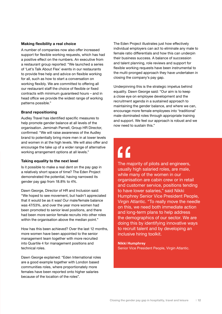### **Making flexibility a real choice**

A number of companies now also offer increased support for flexible working requests, which has had a positive effect on the numbers. An executive from a restaurant group reported: "We launched a series of 'Let's Talk About Flex' events in our restaurants to provide free help and advice on flexible working for all, such as how to start a conversation on working flexibly. We are committed to offering all our restaurant staff the choice of flexible or fixed contracts with minimum guaranteed hours – and in head office we provide the widest range of working patterns possible."

### **Brand repositioning**

Audley Travel has identified specific measures to help promote gender balance at all levels of the organisation. Jemimah Parnell, Group HR Director, confirmed: "We will raise awareness of the Audley brand to potentially bring more men in at lower levels and women in at the high levels. We will also offer and encourage the take up of a wider range of alternative working arrangement options at all levels."

#### **Taking equality to the next level**

Is it possible to make a real dent on the pay gap in a relatively short space of time? The Eden Project demonstrated the potential, having narrowed its gender pay gap from 18.8% to 4%.

Dawn George, Director of HR and Inclusion said: "We hoped to see movement, but hadn't appreciated that it would be as it was! Our male/female balance was 47/53%, and over the year more women had been promoted to senior level positions, and there had been more senior female recruits into other roles within the organisation above the median point."

How has this been achieved? Over the last 12 months, more women have been appointed to the senior management team together with more recruited into Quartile 4 for management positions and technical roles.

Dawn George explained: "Eden International roles are a good example together with London based communities roles, where proportionately more females have been reported onto higher salaries because of the location of the roles".

The Eden Project illustrates just how effectively individual employers can act to eliminate any male to female ratio differentials and how this can underpin their business success. A balance of succession and talent planning, role reviews and support for flexible working requests have been instrumental to the multi-pronged approach they have undertaken in closing the company's pay gap.

Underpinning this is the strategic impetus behind equality. Dawn George said: "Our aim is to keep a close eye on employee development and the recruitment agenda in a sustained approach to maintaining the gender balance, and where we can, encourage more female employees into 'traditional' male-dominated roles through appropriate training and support. We feel our approach is robust and we now need to sustain this."

## $\mathcal{L}$

The majority of pilots and engineers, usually high salaried roles, are male, while many of the women in our organisation are cabin crew or in retail and customer service, positions tending to have lower salaries," said Nikki Humphrey Senior Vice President People, Virgin Atlantic. "To really move the needle on this, we need both immediate action and long-term plans to help address the demographics of our sector. We are doing this by identifying innovative ways to recruit talent and by developing an inclusive hiring toolkit.

## **Nikki Humphrey**

Senior Vice President People, Virgin Atlantic.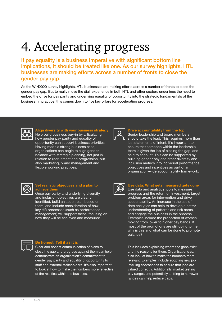## 4. Accelerating progress

If pay equality is a business imperative with significant bottom line implications, it should be treated like one. As our survey highlights, HTL businesses are making efforts across a number of fronts to close the gender pay gap.

As the WiH2020 survey highlights, HTL businesses are making efforts across a number of fronts to close the gender pay gap. But to really move the dial, experience in both HTL and other sectors underlines the need to embed the drive for pay parity and underlying equality of opportunity into the strategic fundamentals of the business. In practice, this comes down to five key pillars for accelerating progress:



**Align diversity with your business strategy** Help build business buy-in by articulating how gender pay parity and equality of opportunity can support business priorities. Having made a strong business case,

organisations can begin to align gender balance with strategic planning, not just in relation to recruitment and progression, but also marketing, brand management and flexible working practices.



### **Drive accountability from the top**

Senior leadership and board members should take the lead. This requires more than just statements of intent. It's important to ensure that someone within the leadership team is given the job of closing the gap, and held to account. This can be supported by building gender pay and other diversity and inclusion metrics into individual performance objectives and incentives as part of an organisation-wide accountability framework.



#### **Set realistic objectives and a plan to achieve them**

Once pay parity and underlying diversity and inclusion objectives are clearly identified, build an action plan based on them, and include consideration of how key HR processes (such as performance management) will support these, focusing on how they will be achieved and measured.



### **Be honest: Tell it as it is**

Clear and honest communication of plans to close the gap and progress against them can help demonstrate an organisation's commitment to gender pay parity and equality of opportunity to staff and external stakeholders. It's also important to look at how to make the numbers more reflective of the realities within the business.



#### **Use data: What gets measured gets done**

Use data and analytics tools to measure progress and the return on investment, target problem areas for intervention and drive accountability. An increase in the use of data analytics can help to develop a better understanding of patterns and risk areas, and engage the business in the process. Examples include the proportion of women moving from lower to higher pay bands. If most of the promotions are still going to men, why is this and what can be done to promote balance?

This includes explaining where the gaps exist and the reasons for them. Organisations can also look at how to make the numbers more relevant. Examples include adopting new job levelling approaches to ensure that jobs are valued correctly. Additionally, market testing pay ranges and potentially shifting to narrower ranges can help reduce gaps.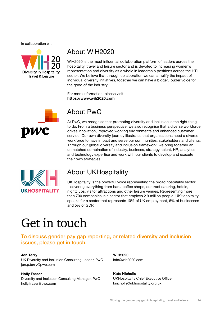In collaboration with



## About WiH2020

WiH2020 is the most influential collaboration platform of leaders across the hospitality, travel and leisure sector and is devoted to increasing women's representation and diversity as a whole in leadership positions across the HTL sector. We believe that through collaboration we can amplify the impact of individual diversity initiatives, together we can have a bigger, louder voice for the good of the industry.

For more information, please visit **https://www.wih2020.com**



## About PwC

At PwC, we recognise that promoting diversity and inclusion is the right thing to do. From a business perspective, we also recognise that a diverse workforce drives innovation, improved working environments and enhanced customer service. Our own diversity journey illustrates that organisations need a diverse workforce to have impact and serve our communities, stakeholders and clients. Through our global diversity and inclusion framework, we bring together an unmatched combination of industry, business, strategy, talent, HR, analytics and technology expertise and work with our clients to develop and execute their own strategies.



## About UKHospitality

UKHospitality is the powerful voice representing the broad hospitality sector – covering everything from bars, coffee shops, contract catering, hotels, nightclubs, visitor attractions and other leisure venues. Representing more than 700 companies in a sector that employs 2.9 million people, UKHospitality speaks for a sector that represents 10% of UK employment, 6% of businesses and 5% of GDP.

## Get in touch

To discuss gender pay gap reporting, or related diversity and inclusion issues, please get in touch.

### **Jon Terry**

UK Diversity and Inclusion Consulting Leader, PwC jon.p.terry@pwc.com

#### **Holly Fraser**

Diversity and Inclusion Consulting Manager, PwC holly.fraser@pwc.com

**WiH2020** info@wih2020.com

**Kate Nicholls** UKHospitality Chief Executive Officer knicholls@ukhospitality.org.uk